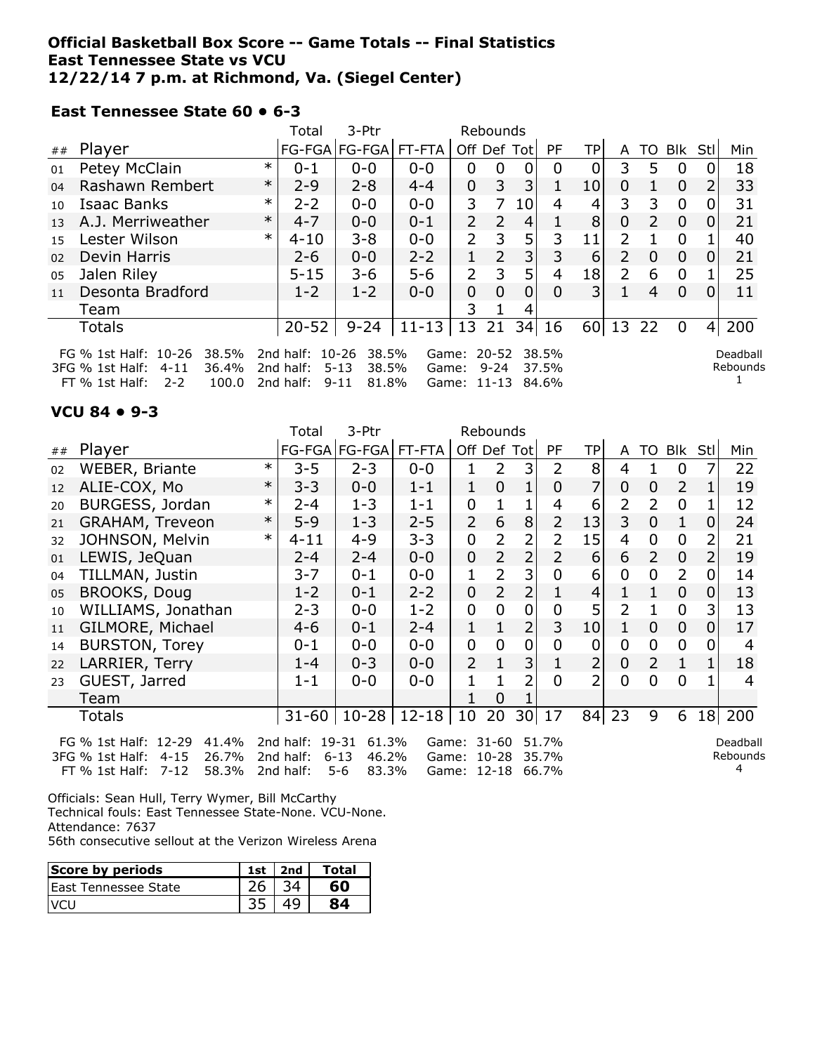### **Official Basketball Box Score -- Game Totals -- Final Statistics East Tennessee State vs VCU 12/22/14 7 p.m. at Richmond, Va. (Siegel Center)**

FT % 1st Half: 2-2 100.0 2nd half: 9-11 81.8% Game: 11-13 84.6%

#### **East Tennessee State 60 • 6-3**

|    |                                                                                                                                                                                                                                                                                                                                         |        | Total     | 3-Ptr                 |           |                           |               |             |           |                 |                           |               |          |          |     |
|----|-----------------------------------------------------------------------------------------------------------------------------------------------------------------------------------------------------------------------------------------------------------------------------------------------------------------------------------------|--------|-----------|-----------------------|-----------|---------------------------|---------------|-------------|-----------|-----------------|---------------------------|---------------|----------|----------|-----|
| ## | Player                                                                                                                                                                                                                                                                                                                                  |        |           | FG-FGA FG-FGA  FT-FTA |           |                           |               | Off Def Tot | <b>PF</b> | TP              | A                         | TO            | Blk      | Stl      | Min |
| 01 | Petey McClain                                                                                                                                                                                                                                                                                                                           | $\ast$ | $0 - 1$   | $0 - 0$               | $0 - 0$   | 0                         | 0             |             | $\Omega$  | 0               | 3                         | 5             | $\Omega$ |          | 18  |
| 04 | Rashawn Rembert                                                                                                                                                                                                                                                                                                                         | $\ast$ | $2-9$     | $2 - 8$               | $4 - 4$   | 0                         | 3             | 3           |           | 10              | 0                         |               | $\Omega$ |          | 33  |
| 10 | Isaac Banks                                                                                                                                                                                                                                                                                                                             | $\ast$ | $2 - 2$   | $0 - 0$               | $0 - 0$   | 3                         | 7             | 10          | 4         | 4               | 3                         | 3             | $\Omega$ |          | 31  |
| 13 | A.J. Merriweather                                                                                                                                                                                                                                                                                                                       | $\ast$ | $4 - 7$   | $0 - 0$               | $0 - 1$   | $\overline{2}$            | $\mathcal{P}$ | 4           |           | 8               | 0                         | $\mathcal{P}$ | 0        | 0        | 21  |
| 15 | Lester Wilson                                                                                                                                                                                                                                                                                                                           | $\ast$ | $4 - 10$  | $3 - 8$               | $0 - 0$   | $\mathbf{2}^{\mathsf{I}}$ | 3             | 5           | 3         | 11              | $\overline{2}$            |               | $\Omega$ |          | 40  |
| 02 | Devin Harris                                                                                                                                                                                                                                                                                                                            |        | $2 - 6$   | $0 - 0$               | $2 - 2$   |                           | 2             | 3           | 3         | 6               | $\mathcal{P}$             | $\Omega$      | 0        | 0        | 21  |
| 05 | Jalen Riley                                                                                                                                                                                                                                                                                                                             |        | $5 - 15$  | $3 - 6$               | $5 - 6$   | $\overline{2}$            | 3             | 5           | 4         | 18              | $\mathsf{2}^{\mathsf{1}}$ | 6             | 0        |          | 25  |
| 11 | Desonta Bradford                                                                                                                                                                                                                                                                                                                        |        | $1 - 2$   | $1 - 2$               | $0 - 0$   | 0                         | 0             | 0           | 0         | 31              |                           | 4             | 0        | $\Omega$ | 11  |
|    | Team                                                                                                                                                                                                                                                                                                                                    |        |           |                       |           | 3.                        |               | 4           |           |                 |                           |               |          |          |     |
|    | <b>Totals</b>                                                                                                                                                                                                                                                                                                                           |        | $20 - 52$ | $9 - 24$              | $11 - 13$ | 13                        | 21            | 34          | 16        | 60 <sup>2</sup> | 13                        | -22           | 0        | 4        | 200 |
|    | FG % 1st Half: 10-26<br>20-52<br>38.5%<br>2nd half:<br>$10 - 26$<br>38.5%<br>38.5%<br>Deadball<br>Game:<br>Rebounds<br>36.4%<br>2nd half:<br>3FG % 1st Half:<br>$5 - 13$<br>38.5%<br>$9 - 24$<br>$4 - 11$<br>37.5%<br>Game:<br>ົາ - ລ<br>$1000$ $2nd$ half $0.11$<br>$FT$ $0/2$ 1ct Half $\cdot$<br>$R1$ $R0$ /<br>$C2ma + 11-12 RA 60$ |        |           |                       |           |                           |               |             |           |                 |                           |               |          |          |     |

#### **VCU 84 • 9-3**

|    |                                                                                                    |        | Total                  | 3-Ptr<br>Rebounds                       |                |                |                    |                |                |                |                |                |                |                |                      |
|----|----------------------------------------------------------------------------------------------------|--------|------------------------|-----------------------------------------|----------------|----------------|--------------------|----------------|----------------|----------------|----------------|----------------|----------------|----------------|----------------------|
| ## | Player                                                                                             |        |                        | FG-FGA FG-FGA                           | FT-FTA         | Off Def        |                    | Totl           | PF             | <b>TP</b>      | A              | TO             | Blk            | Stl            | Min                  |
| 02 | WEBER, Briante                                                                                     | $\ast$ | $3 - 5$                | $2 - 3$                                 | $0 - 0$        |                | 2                  | 3              | $\overline{2}$ | 8              | 4              |                | $\overline{0}$ | 7              | 22                   |
| 12 | ALIE-COX, Mo                                                                                       | $\ast$ | $3 - 3$                | $0 - 0$                                 | $1 - 1$        | 1              | $\overline{0}$     |                | 0              | 7              | 0              | 0              | 2              |                | 19                   |
| 20 | BURGESS, Jordan                                                                                    | $\ast$ | $2 - 4$                | $1 - 3$                                 | $1 - 1$        | 0              |                    |                | 4              | 6              | 2              | 2              | 0              |                | 12                   |
| 21 | GRAHAM, Treveon                                                                                    | $\ast$ | $5 - 9$                | $1 - 3$                                 | $2 - 5$        | $\overline{2}$ | 6                  | 8              | 2              | 13             | 3              | $\overline{0}$ | 1              | 0              | 24                   |
| 32 | JOHNSON, Melvin                                                                                    | $\ast$ | $4 - 11$               | $4 - 9$                                 | $3 - 3$        | 0              | $\overline{2}$     | 2              | $\overline{2}$ | 15             | 4              | 0              | 0              | 2              | 21                   |
| 01 | LEWIS, JeQuan                                                                                      |        | $2 - 4$                | $2 - 4$                                 | $0 - 0$        | 0              | 2                  | $\overline{2}$ | 2              | 6              | 6              | $\overline{2}$ | $\mathbf 0$    | 2              | 19                   |
| 04 | TILLMAN, Justin                                                                                    |        | $3 - 7$                | $0 - 1$                                 | $0 - 0$        | 1              | 2                  | 3              | 0              | 6              | $\overline{0}$ | 0              | $\overline{2}$ | 0              | 14                   |
| 05 | <b>BROOKS, Doug</b>                                                                                |        | $1 - 2$                | $0 - 1$                                 | $2 - 2$        | 0              | $\overline{2}$     | 2              | 1              | $\overline{4}$ | 1              | 1              | $\mathbf 0$    | $\overline{0}$ | 13                   |
| 10 | WILLIAMS, Jonathan                                                                                 |        | $2 - 3$                | $0 - 0$                                 | $1 - 2$        | 0              | 0                  | 0              | 0              | 5              | 2              | 1              | $\mathbf 0$    | 3              | 13                   |
| 11 | GILMORE, Michael                                                                                   |        | $4 - 6$                | $0 - 1$                                 | $2 - 4$        | 1              |                    | $\overline{2}$ | 3              | 10             |                | 0              | $\overline{0}$ | 0              | 17                   |
| 14 | <b>BURSTON, Torey</b>                                                                              |        | 0-1                    | $0-0$                                   | $0 - 0$        | 0              | $\overline{0}$     | 0              | 0              | 0              | 0              | 0              | $\mathbf 0$    | 0              | $\overline{4}$       |
| 22 | LARRIER, Terry                                                                                     |        | $1 - 4$                | $0 - 3$                                 | $0 - 0$        | $\overline{2}$ |                    | 3              |                | $\overline{2}$ | $\overline{0}$ | $\overline{2}$ | 1              | 1              | 18                   |
| 23 | GUEST, Jarred                                                                                      |        | $1 - 1$                | $0 - 0$                                 | $0 - 0$        | 1              |                    | $\overline{2}$ | $\Omega$       | $\overline{2}$ | $\overline{0}$ | 0              | $\overline{0}$ |                | 4                    |
|    | Team                                                                                               |        |                        |                                         |                |                | $\Omega$           |                |                |                |                |                |                |                |                      |
|    | 20<br>23<br>200<br>$10 - 28$   12-18  <br>30 17<br>84<br>18<br>$31 - 60$<br>10<br>9<br>6<br>Totals |        |                        |                                         |                |                |                    |                |                |                |                |                |                |                |                      |
|    | FG % 1st Half: 12-29<br>41.4%<br>26.7%<br>3FG % 1st Half:<br>$4 - 15$                              |        | 2nd half:<br>2nd half: | $19 - 31$<br>61.3%<br>$6 - 13$<br>46.2% | Game:<br>Game: |                | $31 - 60$<br>10-28 |                | 51.7%<br>35.7% |                |                |                |                |                | Deadball<br>Rebounds |

FT % 1st Half: 7-12 58.3% 2nd half: 5-6 83.3% Game: 12-18 66.7%

Rebounds 4

Officials: Sean Hull, Terry Wymer, Bill McCarthy Technical fouls: East Tennessee State-None. VCU-None. Attendance: 7637 56th consecutive sellout at the Verizon Wireless Arena

| Score by periods            | 1st. | 2nd | Total |
|-----------------------------|------|-----|-------|
| <b>East Tennessee State</b> |      |     |       |
|                             |      |     |       |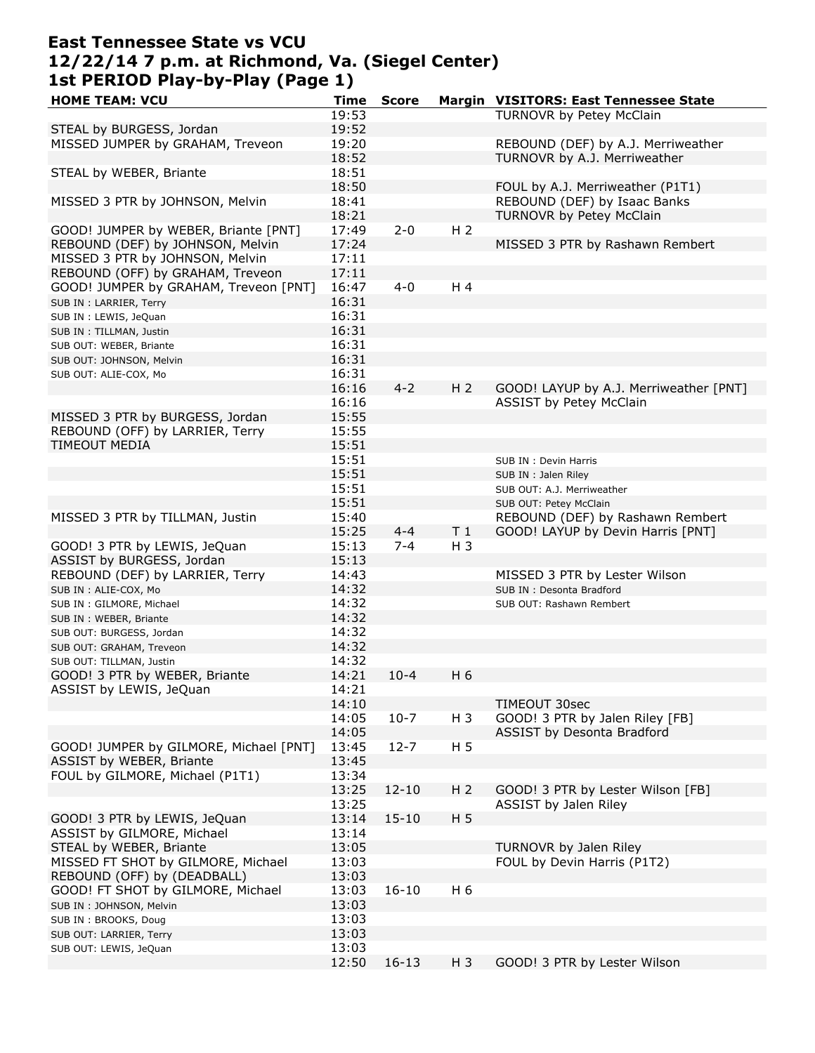# **East Tennessee State vs VCU 12/22/14 7 p.m. at Richmond, Va. (Siegel Center) 1st PERIOD Play-by-Play (Page 1)**

| <b>HOME TEAM: VCU</b>                  | Time  | <b>Score</b> | <u>Margin</u>  | <b>VISITORS: East Tennessee State</b>  |
|----------------------------------------|-------|--------------|----------------|----------------------------------------|
|                                        | 19:53 |              |                | TURNOVR by Petey McClain               |
| STEAL by BURGESS, Jordan               | 19:52 |              |                |                                        |
| MISSED JUMPER by GRAHAM, Treveon       | 19:20 |              |                | REBOUND (DEF) by A.J. Merriweather     |
|                                        |       |              |                |                                        |
|                                        | 18:52 |              |                | TURNOVR by A.J. Merriweather           |
| STEAL by WEBER, Briante                | 18:51 |              |                |                                        |
|                                        | 18:50 |              |                | FOUL by A.J. Merriweather (P1T1)       |
| MISSED 3 PTR by JOHNSON, Melvin        | 18:41 |              |                | REBOUND (DEF) by Isaac Banks           |
|                                        | 18:21 |              |                | <b>TURNOVR by Petey McClain</b>        |
| GOOD! JUMPER by WEBER, Briante [PNT]   | 17:49 | $2 - 0$      | H <sub>2</sub> |                                        |
| REBOUND (DEF) by JOHNSON, Melvin       |       |              |                | MISSED 3 PTR by Rashawn Rembert        |
|                                        | 17:24 |              |                |                                        |
| MISSED 3 PTR by JOHNSON, Melvin        | 17:11 |              |                |                                        |
| REBOUND (OFF) by GRAHAM, Treveon       | 17:11 |              |                |                                        |
| GOOD! JUMPER by GRAHAM, Treveon [PNT]  | 16:47 | $4 - 0$      | H <sub>4</sub> |                                        |
| SUB IN : LARRIER, Terry                | 16:31 |              |                |                                        |
| SUB IN : LEWIS, JeQuan                 | 16:31 |              |                |                                        |
| SUB IN : TILLMAN, Justin               | 16:31 |              |                |                                        |
|                                        |       |              |                |                                        |
| SUB OUT: WEBER, Briante                | 16:31 |              |                |                                        |
| SUB OUT: JOHNSON, Melvin               | 16:31 |              |                |                                        |
| SUB OUT: ALIE-COX, Mo                  | 16:31 |              |                |                                        |
|                                        | 16:16 | $4 - 2$      | H <sub>2</sub> | GOOD! LAYUP by A.J. Merriweather [PNT] |
|                                        | 16:16 |              |                | <b>ASSIST by Petey McClain</b>         |
| MISSED 3 PTR by BURGESS, Jordan        | 15:55 |              |                |                                        |
| REBOUND (OFF) by LARRIER, Terry        | 15:55 |              |                |                                        |
|                                        |       |              |                |                                        |
| <b>TIMEOUT MEDIA</b>                   | 15:51 |              |                |                                        |
|                                        | 15:51 |              |                | SUB IN: Devin Harris                   |
|                                        | 15:51 |              |                | SUB IN : Jalen Riley                   |
|                                        | 15:51 |              |                | SUB OUT: A.J. Merriweather             |
|                                        | 15:51 |              |                | SUB OUT: Petey McClain                 |
| MISSED 3 PTR by TILLMAN, Justin        | 15:40 |              |                | REBOUND (DEF) by Rashawn Rembert       |
|                                        | 15:25 | $4 - 4$      | T <sub>1</sub> | GOOD! LAYUP by Devin Harris [PNT]      |
|                                        |       | $7 - 4$      |                |                                        |
| GOOD! 3 PTR by LEWIS, JeQuan           | 15:13 |              | H 3            |                                        |
| ASSIST by BURGESS, Jordan              | 15:13 |              |                |                                        |
| REBOUND (DEF) by LARRIER, Terry        | 14:43 |              |                | MISSED 3 PTR by Lester Wilson          |
| SUB IN : ALIE-COX, Mo                  | 14:32 |              |                | SUB IN: Desonta Bradford               |
| SUB IN : GILMORE, Michael              | 14:32 |              |                | SUB OUT: Rashawn Rembert               |
| SUB IN : WEBER, Briante                | 14:32 |              |                |                                        |
| SUB OUT: BURGESS, Jordan               | 14:32 |              |                |                                        |
|                                        | 14:32 |              |                |                                        |
| SUB OUT: GRAHAM, Treveon               |       |              |                |                                        |
| SUB OUT: TILLMAN, Justin               | 14:32 |              |                |                                        |
| GOOD! 3 PTR by WEBER, Briante          | 14:21 | $10 - 4$     | H 6            |                                        |
| ASSIST by LEWIS, JeQuan                | 14:21 |              |                |                                        |
|                                        | 14:10 |              |                | TIMEOUT 30sec                          |
|                                        | 14:05 | $10-7$       | $H_3$          | GOOD! 3 PTR by Jalen Riley [FB]        |
|                                        | 14:05 |              |                | ASSIST by Desonta Bradford             |
| GOOD! JUMPER by GILMORE, Michael [PNT] | 13:45 | $12 - 7$     | H <sub>5</sub> |                                        |
|                                        |       |              |                |                                        |
| ASSIST by WEBER, Briante               | 13:45 |              |                |                                        |
| FOUL by GILMORE, Michael (P1T1)        | 13:34 |              |                |                                        |
|                                        | 13:25 | $12 - 10$    | H <sub>2</sub> | GOOD! 3 PTR by Lester Wilson [FB]      |
|                                        | 13:25 |              |                | ASSIST by Jalen Riley                  |
| GOOD! 3 PTR by LEWIS, JeQuan           | 13:14 | $15 - 10$    | H <sub>5</sub> |                                        |
| ASSIST by GILMORE, Michael             | 13:14 |              |                |                                        |
|                                        |       |              |                |                                        |
| STEAL by WEBER, Briante                | 13:05 |              |                | TURNOVR by Jalen Riley                 |
| MISSED FT SHOT by GILMORE, Michael     | 13:03 |              |                | FOUL by Devin Harris (P1T2)            |
| REBOUND (OFF) by (DEADBALL)            | 13:03 |              |                |                                        |
| GOOD! FT SHOT by GILMORE, Michael      | 13:03 | $16 - 10$    | H 6            |                                        |
| SUB IN: JOHNSON, Melvin                | 13:03 |              |                |                                        |
| SUB IN: BROOKS, Doug                   | 13:03 |              |                |                                        |
|                                        | 13:03 |              |                |                                        |
| SUB OUT: LARRIER, Terry                |       |              |                |                                        |
| SUB OUT: LEWIS, JeQuan                 | 13:03 |              |                |                                        |
|                                        | 12:50 | $16 - 13$    | $H_3$          | GOOD! 3 PTR by Lester Wilson           |
|                                        |       |              |                |                                        |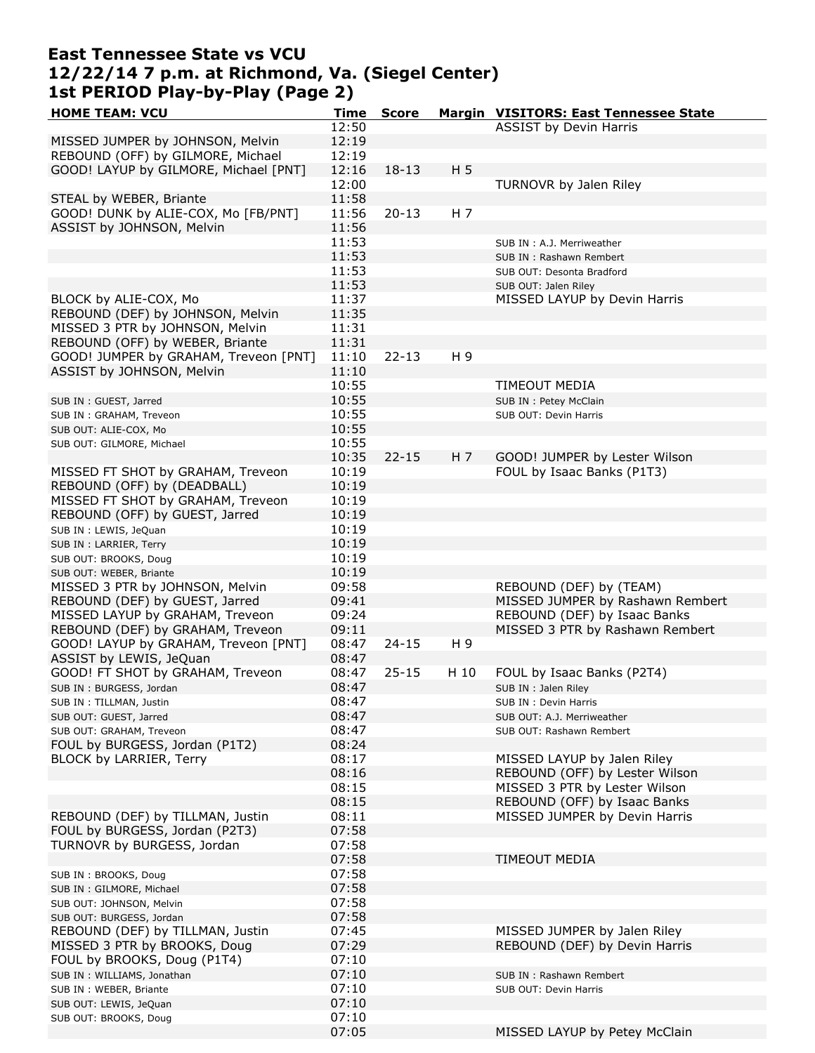### **East Tennessee State vs VCU 12/22/14 7 p.m. at Richmond, Va. (Siegel Center) 1st PERIOD Play-by-Play (Page 2)**

| <b>HOME TEAM: VCU</b>                 | Time  | <b>Score</b> |                | Margin VISITORS: East Tennessee State |
|---------------------------------------|-------|--------------|----------------|---------------------------------------|
|                                       | 12:50 |              |                | <b>ASSIST by Devin Harris</b>         |
| MISSED JUMPER by JOHNSON, Melvin      | 12:19 |              |                |                                       |
| REBOUND (OFF) by GILMORE, Michael     | 12:19 |              |                |                                       |
| GOOD! LAYUP by GILMORE, Michael [PNT] | 12:16 | $18 - 13$    | H <sub>5</sub> |                                       |
|                                       | 12:00 |              |                | TURNOVR by Jalen Riley                |
| STEAL by WEBER, Briante               | 11:58 |              |                |                                       |
| GOOD! DUNK by ALIE-COX, Mo [FB/PNT]   |       |              |                |                                       |
|                                       | 11:56 | $20 - 13$    | H 7            |                                       |
| ASSIST by JOHNSON, Melvin             | 11:56 |              |                |                                       |
|                                       | 11:53 |              |                | SUB IN : A.J. Merriweather            |
|                                       | 11:53 |              |                | SUB IN: Rashawn Rembert               |
|                                       | 11:53 |              |                | SUB OUT: Desonta Bradford             |
|                                       | 11:53 |              |                | SUB OUT: Jalen Riley                  |
| BLOCK by ALIE-COX, Mo                 | 11:37 |              |                | MISSED LAYUP by Devin Harris          |
| REBOUND (DEF) by JOHNSON, Melvin      | 11:35 |              |                |                                       |
| MISSED 3 PTR by JOHNSON, Melvin       | 11:31 |              |                |                                       |
| REBOUND (OFF) by WEBER, Briante       | 11:31 |              |                |                                       |
| GOOD! JUMPER by GRAHAM, Treveon [PNT] | 11:10 | $22 - 13$    | H 9            |                                       |
| ASSIST by JOHNSON, Melvin             | 11:10 |              |                |                                       |
|                                       | 10:55 |              |                | <b>TIMEOUT MEDIA</b>                  |
|                                       | 10:55 |              |                |                                       |
| SUB IN : GUEST, Jarred                |       |              |                | SUB IN : Petey McClain                |
| SUB IN: GRAHAM, Treveon               | 10:55 |              |                | SUB OUT: Devin Harris                 |
| SUB OUT: ALIE-COX, Mo                 | 10:55 |              |                |                                       |
| SUB OUT: GILMORE, Michael             | 10:55 |              |                |                                       |
|                                       | 10:35 | $22 - 15$    | H 7            | GOOD! JUMPER by Lester Wilson         |
| MISSED FT SHOT by GRAHAM, Treveon     | 10:19 |              |                | FOUL by Isaac Banks (P1T3)            |
| REBOUND (OFF) by (DEADBALL)           | 10:19 |              |                |                                       |
| MISSED FT SHOT by GRAHAM, Treveon     | 10:19 |              |                |                                       |
| REBOUND (OFF) by GUEST, Jarred        | 10:19 |              |                |                                       |
| SUB IN : LEWIS, JeQuan                | 10:19 |              |                |                                       |
| SUB IN : LARRIER, Terry               | 10:19 |              |                |                                       |
| SUB OUT: BROOKS, Doug                 | 10:19 |              |                |                                       |
| SUB OUT: WEBER, Briante               | 10:19 |              |                |                                       |
| MISSED 3 PTR by JOHNSON, Melvin       | 09:58 |              |                | REBOUND (DEF) by (TEAM)               |
|                                       |       |              |                |                                       |
| REBOUND (DEF) by GUEST, Jarred        | 09:41 |              |                | MISSED JUMPER by Rashawn Rembert      |
| MISSED LAYUP by GRAHAM, Treveon       | 09:24 |              |                | REBOUND (DEF) by Isaac Banks          |
| REBOUND (DEF) by GRAHAM, Treveon      | 09:11 |              |                | MISSED 3 PTR by Rashawn Rembert       |
| GOOD! LAYUP by GRAHAM, Treveon [PNT]  | 08:47 | $24 - 15$    | H 9            |                                       |
| ASSIST by LEWIS, JeQuan               | 08:47 |              |                |                                       |
| GOOD! FT SHOT by GRAHAM, Treveon      | 08:47 | $25 - 15$    | H 10           | FOUL by Isaac Banks (P2T4)            |
| SUB IN: BURGESS, Jordan               | 08:47 |              |                | SUB IN : Jalen Riley                  |
| SUB IN : TILLMAN, Justin              | 08:47 |              |                | SUB IN: Devin Harris                  |
| SUB OUT: GUEST, Jarred                | 08:47 |              |                | SUB OUT: A.J. Merriweather            |
| SUB OUT: GRAHAM, Treveon              | 08:47 |              |                | SUB OUT: Rashawn Rembert              |
| FOUL by BURGESS, Jordan (P1T2)        | 08:24 |              |                |                                       |
| BLOCK by LARRIER, Terry               | 08:17 |              |                | MISSED LAYUP by Jalen Riley           |
|                                       | 08:16 |              |                | REBOUND (OFF) by Lester Wilson        |
|                                       | 08:15 |              |                | MISSED 3 PTR by Lester Wilson         |
|                                       | 08:15 |              |                | REBOUND (OFF) by Isaac Banks          |
| REBOUND (DEF) by TILLMAN, Justin      |       |              |                |                                       |
|                                       | 08:11 |              |                | MISSED JUMPER by Devin Harris         |
| FOUL by BURGESS, Jordan (P2T3)        | 07:58 |              |                |                                       |
| TURNOVR by BURGESS, Jordan            | 07:58 |              |                |                                       |
|                                       | 07:58 |              |                | TIMEOUT MEDIA                         |
| SUB IN: BROOKS, Doug                  | 07:58 |              |                |                                       |
| SUB IN : GILMORE, Michael             | 07:58 |              |                |                                       |
| SUB OUT: JOHNSON, Melvin              | 07:58 |              |                |                                       |
| SUB OUT: BURGESS, Jordan              | 07:58 |              |                |                                       |
| REBOUND (DEF) by TILLMAN, Justin      | 07:45 |              |                | MISSED JUMPER by Jalen Riley          |
| MISSED 3 PTR by BROOKS, Doug          | 07:29 |              |                | REBOUND (DEF) by Devin Harris         |
| FOUL by BROOKS, Doug (P1T4)           | 07:10 |              |                |                                       |
| SUB IN: WILLIAMS, Jonathan            | 07:10 |              |                | SUB IN: Rashawn Rembert               |
| SUB IN : WEBER, Briante               | 07:10 |              |                | SUB OUT: Devin Harris                 |
|                                       | 07:10 |              |                |                                       |
| SUB OUT: LEWIS, JeQuan                | 07:10 |              |                |                                       |
| SUB OUT: BROOKS, Doug                 |       |              |                |                                       |
|                                       | 07:05 |              |                | MISSED LAYUP by Petey McClain         |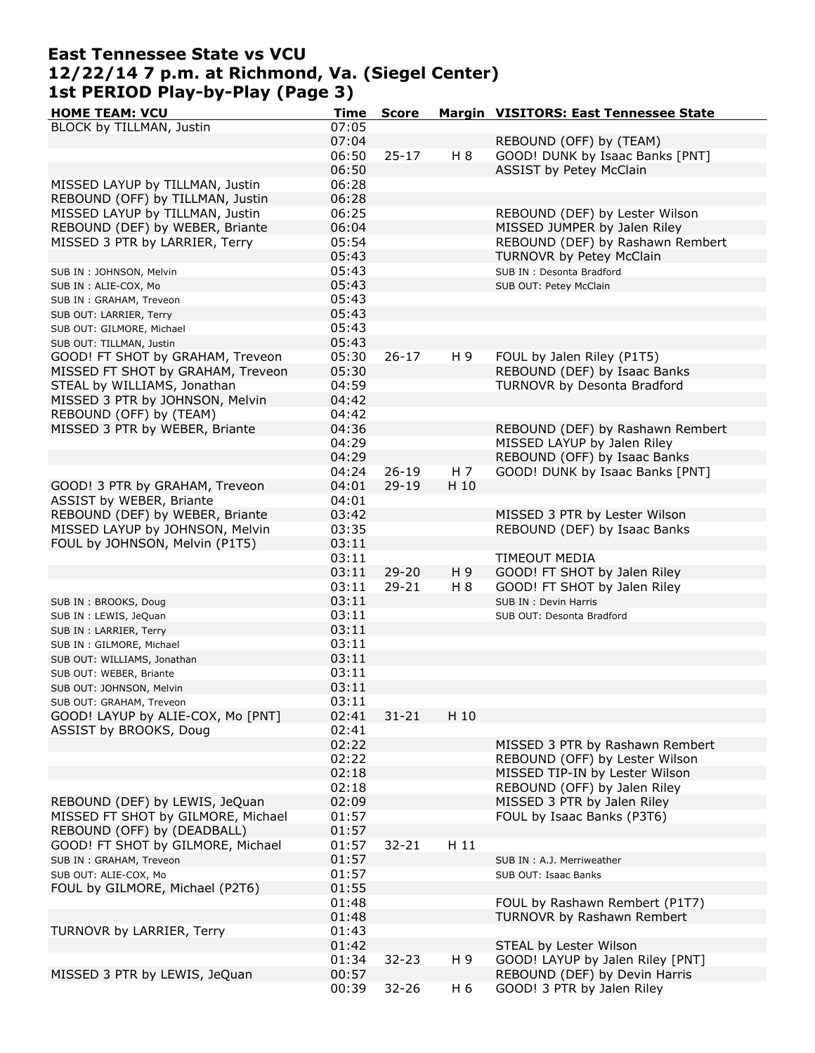### **East Tennessee State vs VCU 12/22/14 7 p.m. at Richmond, Va. (Siegel Center) 1st PERIOD Play-by-Play (Page 3)**

| <b>HOME TEAM: VCU</b>              | <b>Time</b> | <b>Score</b> |      | Margin VISITORS: East Tennessee State |
|------------------------------------|-------------|--------------|------|---------------------------------------|
| BLOCK by TILLMAN, Justin           | 07:05       |              |      |                                       |
|                                    | 07:04       |              |      | REBOUND (OFF) by (TEAM)               |
|                                    | 06:50       | $25 - 17$    | H 8  | GOOD! DUNK by Isaac Banks [PNT]       |
|                                    | 06:50       |              |      | ASSIST by Petey McClain               |
| MISSED LAYUP by TILLMAN, Justin    | 06:28       |              |      |                                       |
| REBOUND (OFF) by TILLMAN, Justin   | 06:28       |              |      |                                       |
|                                    |             |              |      |                                       |
| MISSED LAYUP by TILLMAN, Justin    | 06:25       |              |      | REBOUND (DEF) by Lester Wilson        |
| REBOUND (DEF) by WEBER, Briante    | 06:04       |              |      | MISSED JUMPER by Jalen Riley          |
| MISSED 3 PTR by LARRIER, Terry     | 05:54       |              |      | REBOUND (DEF) by Rashawn Rembert      |
|                                    | 05:43       |              |      | TURNOVR by Petey McClain              |
| SUB IN : JOHNSON, Melvin           | 05:43       |              |      | SUB IN : Desonta Bradford             |
| SUB IN : ALIE-COX, Mo              | 05:43       |              |      | SUB OUT: Petey McClain                |
| SUB IN: GRAHAM, Treveon            | 05:43       |              |      |                                       |
| SUB OUT: LARRIER, Terry            | 05:43       |              |      |                                       |
| SUB OUT: GILMORE, Michael          | 05:43       |              |      |                                       |
|                                    |             |              |      |                                       |
| SUB OUT: TILLMAN, Justin           | 05:43       |              |      |                                       |
| GOOD! FT SHOT by GRAHAM, Treveon   | 05:30       | $26 - 17$    | H 9  | FOUL by Jalen Riley (P1T5)            |
| MISSED FT SHOT by GRAHAM, Treveon  | 05:30       |              |      | REBOUND (DEF) by Isaac Banks          |
| STEAL by WILLIAMS, Jonathan        | 04:59       |              |      | TURNOVR by Desonta Bradford           |
| MISSED 3 PTR by JOHNSON, Melvin    | 04:42       |              |      |                                       |
| REBOUND (OFF) by (TEAM)            | 04:42       |              |      |                                       |
| MISSED 3 PTR by WEBER, Briante     | 04:36       |              |      | REBOUND (DEF) by Rashawn Rembert      |
|                                    | 04:29       |              |      | MISSED LAYUP by Jalen Riley           |
|                                    | 04:29       |              |      | REBOUND (OFF) by Isaac Banks          |
|                                    | 04:24       | $26 - 19$    | H 7  | GOOD! DUNK by Isaac Banks [PNT]       |
|                                    |             |              |      |                                       |
| GOOD! 3 PTR by GRAHAM, Treveon     | 04:01       | $29 - 19$    | H 10 |                                       |
| ASSIST by WEBER, Briante           | 04:01       |              |      |                                       |
| REBOUND (DEF) by WEBER, Briante    | 03:42       |              |      | MISSED 3 PTR by Lester Wilson         |
| MISSED LAYUP by JOHNSON, Melvin    | 03:35       |              |      | REBOUND (DEF) by Isaac Banks          |
| FOUL by JOHNSON, Melvin (P1T5)     | 03:11       |              |      |                                       |
|                                    | 03:11       |              |      | <b>TIMEOUT MEDIA</b>                  |
|                                    | 03:11       | $29 - 20$    | H 9  | GOOD! FT SHOT by Jalen Riley          |
|                                    | 03:11       | $29 - 21$    | H 8  | GOOD! FT SHOT by Jalen Riley          |
| SUB IN: BROOKS, Doug               | 03:11       |              |      | SUB IN : Devin Harris                 |
| SUB IN : LEWIS, JeQuan             | 03:11       |              |      | SUB OUT: Desonta Bradford             |
| SUB IN: LARRIER, Terry             | 03:11       |              |      |                                       |
|                                    | 03:11       |              |      |                                       |
| SUB IN : GILMORE, Michael          |             |              |      |                                       |
| SUB OUT: WILLIAMS, Jonathan        | 03:11       |              |      |                                       |
| SUB OUT: WEBER, Briante            | 03:11       |              |      |                                       |
| SUB OUT: JOHNSON, Melvin           | 03:11       |              |      |                                       |
| SUB OUT: GRAHAM, Treveon           | 03:11       |              |      |                                       |
| GOOD! LAYUP by ALIE-COX, Mo [PNT]  | 02:41       | $31 - 21$    | H 10 |                                       |
| ASSIST by BROOKS, Doug             | 02:41       |              |      |                                       |
|                                    | 02:22       |              |      | MISSED 3 PTR by Rashawn Rembert       |
|                                    | 02:22       |              |      | REBOUND (OFF) by Lester Wilson        |
|                                    | 02:18       |              |      | MISSED TIP-IN by Lester Wilson        |
|                                    | 02:18       |              |      | REBOUND (OFF) by Jalen Riley          |
| REBOUND (DEF) by LEWIS, JeQuan     |             |              |      | MISSED 3 PTR by Jalen Riley           |
|                                    | 02:09       |              |      |                                       |
| MISSED FT SHOT by GILMORE, Michael | 01:57       |              |      | FOUL by Isaac Banks (P3T6)            |
| REBOUND (OFF) by (DEADBALL)        | 01:57       |              |      |                                       |
| GOOD! FT SHOT by GILMORE, Michael  | 01:57       | $32 - 21$    | H 11 |                                       |
| SUB IN: GRAHAM, Treveon            | 01:57       |              |      | SUB IN : A.J. Merriweather            |
| SUB OUT: ALIE-COX, Mo              | 01:57       |              |      | SUB OUT: Isaac Banks                  |
| FOUL by GILMORE, Michael (P2T6)    | 01:55       |              |      |                                       |
|                                    | 01:48       |              |      | FOUL by Rashawn Rembert (P1T7)        |
|                                    | 01:48       |              |      | TURNOVR by Rashawn Rembert            |
| TURNOVR by LARRIER, Terry          | 01:43       |              |      |                                       |
|                                    | 01:42       |              |      | STEAL by Lester Wilson                |
|                                    |             |              | H 9  |                                       |
|                                    | 01:34       | $32 - 23$    |      | GOOD! LAYUP by Jalen Riley [PNT]      |
| MISSED 3 PTR by LEWIS, JeQuan      | 00:57       |              |      | REBOUND (DEF) by Devin Harris         |
|                                    | 00:39       | $32 - 26$    | H 6  | GOOD! 3 PTR by Jalen Riley            |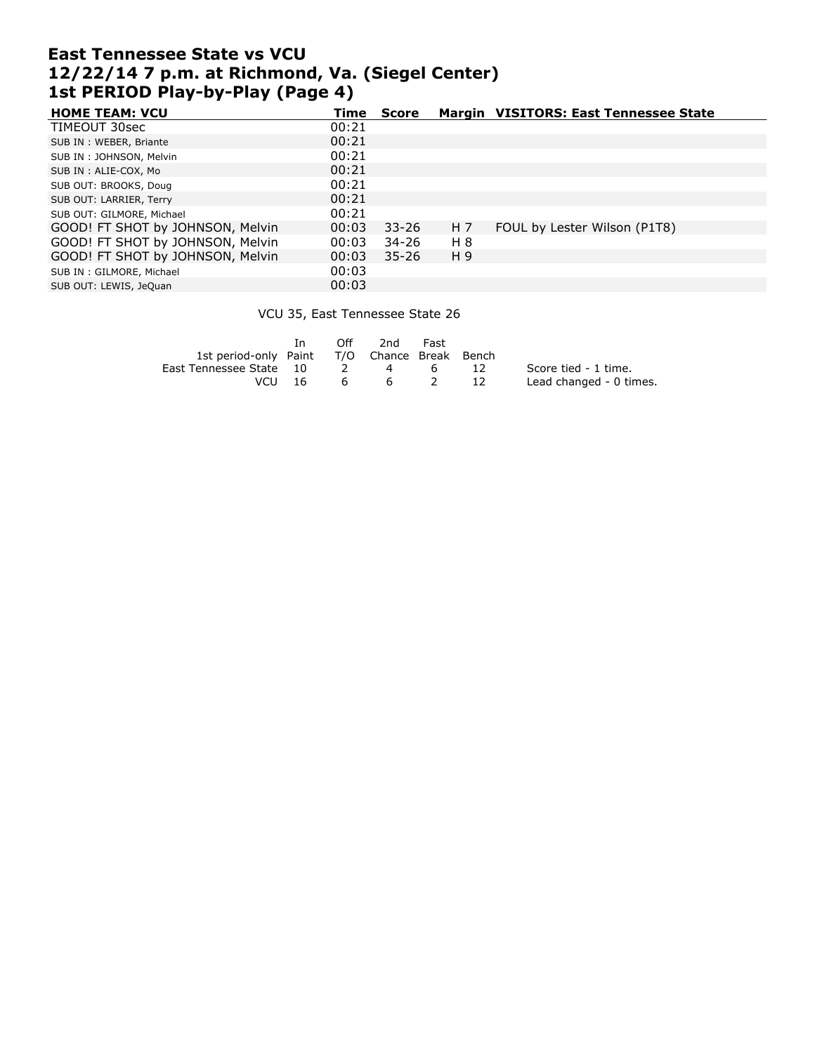## **East Tennessee State vs VCU 12/22/14 7 p.m. at Richmond, Va. (Siegel Center) 1st PERIOD Play-by-Play (Page 4)**

| <b>HOME TEAM: VCU</b>            | Time  | <b>Score</b> |     | Margin VISITORS: East Tennessee State |
|----------------------------------|-------|--------------|-----|---------------------------------------|
| TIMEOUT 30sec                    | 00:21 |              |     |                                       |
| SUB IN: WEBER, Briante           | 00:21 |              |     |                                       |
| SUB IN: JOHNSON, Melvin          | 00:21 |              |     |                                       |
| SUB IN : ALIE-COX, Mo            | 00:21 |              |     |                                       |
| SUB OUT: BROOKS, Doug            | 00:21 |              |     |                                       |
| SUB OUT: LARRIER, Terry          | 00:21 |              |     |                                       |
| SUB OUT: GILMORE, Michael        | 00:21 |              |     |                                       |
| GOOD! FT SHOT by JOHNSON, Melvin | 00:03 | $33 - 26$    | H 7 | FOUL by Lester Wilson (P1T8)          |
| GOOD! FT SHOT by JOHNSON, Melvin | 00:03 | 34-26        | H 8 |                                       |
| GOOD! FT SHOT by JOHNSON, Melvin | 00:03 | $35 - 26$    | H 9 |                                       |
| SUB IN: GILMORE, Michael         | 00:03 |              |     |                                       |
| SUB OUT: LEWIS, JeQuan           | 00:03 |              |     |                                       |

#### VCU 35, East Tennessee State 26

|                                              | - In |       | Off 2nd Fast |     |     |                         |
|----------------------------------------------|------|-------|--------------|-----|-----|-------------------------|
| 1st period-only Paint T/O Chance Break Bench |      |       |              |     |     |                         |
| East Tennessee State 10                      |      |       |              | 4 6 | -12 | Score tied - 1 time.    |
| VCU 16                                       |      | - 6 - | - 6          |     | -12 | Lead changed - 0 times. |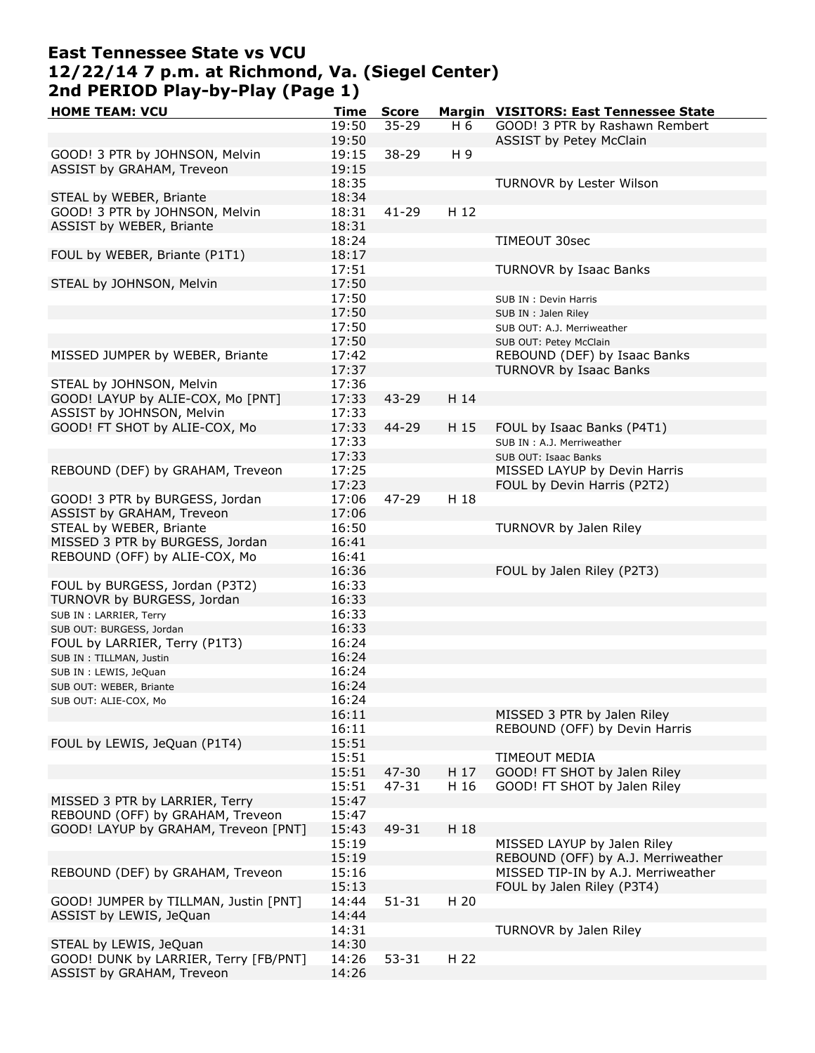# **East Tennessee State vs VCU 12/22/14 7 p.m. at Richmond, Va. (Siegel Center) 2nd PERIOD Play-by-Play (Page 1)**

| <b>HOME TEAM: VCU</b>                 | Time  | <b>Score</b> |      | Margin VISITORS: East Tennessee State |
|---------------------------------------|-------|--------------|------|---------------------------------------|
|                                       | 19:50 | $35 - 29$    | H 6  | GOOD! 3 PTR by Rashawn Rembert        |
|                                       | 19:50 |              |      | ASSIST by Petey McClain               |
| GOOD! 3 PTR by JOHNSON, Melvin        | 19:15 | $38 - 29$    | H 9  |                                       |
| ASSIST by GRAHAM, Treveon             | 19:15 |              |      |                                       |
|                                       | 18:35 |              |      |                                       |
|                                       |       |              |      | TURNOVR by Lester Wilson              |
| STEAL by WEBER, Briante               | 18:34 |              |      |                                       |
| GOOD! 3 PTR by JOHNSON, Melvin        | 18:31 | $41 - 29$    | H 12 |                                       |
| ASSIST by WEBER, Briante              | 18:31 |              |      |                                       |
|                                       | 18:24 |              |      | TIMEOUT 30sec                         |
| FOUL by WEBER, Briante (P1T1)         | 18:17 |              |      |                                       |
|                                       | 17:51 |              |      | <b>TURNOVR by Isaac Banks</b>         |
| STEAL by JOHNSON, Melvin              | 17:50 |              |      |                                       |
|                                       | 17:50 |              |      | SUB IN : Devin Harris                 |
|                                       | 17:50 |              |      |                                       |
|                                       |       |              |      | SUB IN : Jalen Riley                  |
|                                       | 17:50 |              |      | SUB OUT: A.J. Merriweather            |
|                                       | 17:50 |              |      | SUB OUT: Petey McClain                |
| MISSED JUMPER by WEBER, Briante       | 17:42 |              |      | REBOUND (DEF) by Isaac Banks          |
|                                       | 17:37 |              |      | TURNOVR by Isaac Banks                |
| STEAL by JOHNSON, Melvin              | 17:36 |              |      |                                       |
| GOOD! LAYUP by ALIE-COX, Mo [PNT]     | 17:33 | 43-29        | H 14 |                                       |
| ASSIST by JOHNSON, Melvin             | 17:33 |              |      |                                       |
| GOOD! FT SHOT by ALIE-COX, Mo         | 17:33 | 44-29        | H 15 | FOUL by Isaac Banks (P4T1)            |
|                                       |       |              |      |                                       |
|                                       | 17:33 |              |      | SUB IN: A.J. Merriweather             |
|                                       | 17:33 |              |      | SUB OUT: Isaac Banks                  |
| REBOUND (DEF) by GRAHAM, Treveon      | 17:25 |              |      | MISSED LAYUP by Devin Harris          |
|                                       | 17:23 |              |      | FOUL by Devin Harris (P2T2)           |
| GOOD! 3 PTR by BURGESS, Jordan        | 17:06 | 47-29        | H 18 |                                       |
| ASSIST by GRAHAM, Treveon             | 17:06 |              |      |                                       |
| STEAL by WEBER, Briante               | 16:50 |              |      | TURNOVR by Jalen Riley                |
| MISSED 3 PTR by BURGESS, Jordan       | 16:41 |              |      |                                       |
| REBOUND (OFF) by ALIE-COX, Mo         | 16:41 |              |      |                                       |
|                                       | 16:36 |              |      | FOUL by Jalen Riley (P2T3)            |
| FOUL by BURGESS, Jordan (P3T2)        | 16:33 |              |      |                                       |
| TURNOVR by BURGESS, Jordan            | 16:33 |              |      |                                       |
|                                       |       |              |      |                                       |
| SUB IN : LARRIER, Terry               | 16:33 |              |      |                                       |
| SUB OUT: BURGESS, Jordan              | 16:33 |              |      |                                       |
| FOUL by LARRIER, Terry (P1T3)         | 16:24 |              |      |                                       |
| SUB IN : TILLMAN, Justin              | 16:24 |              |      |                                       |
| SUB IN : LEWIS, JeQuan                | 16:24 |              |      |                                       |
| SUB OUT: WEBER, Briante               | 16:24 |              |      |                                       |
| SUB OUT: ALIE-COX, Mo                 | 16:24 |              |      |                                       |
|                                       | 16:11 |              |      | MISSED 3 PTR by Jalen Riley           |
|                                       | 16:11 |              |      | REBOUND (OFF) by Devin Harris         |
| FOUL by LEWIS, JeQuan (P1T4)          | 15:51 |              |      |                                       |
|                                       | 15:51 |              |      | <b>TIMEOUT MEDIA</b>                  |
|                                       | 15:51 | 47-30        | H 17 | GOOD! FT SHOT by Jalen Riley          |
|                                       |       |              |      |                                       |
|                                       | 15:51 | 47-31        | H 16 | GOOD! FT SHOT by Jalen Riley          |
| MISSED 3 PTR by LARRIER, Terry        | 15:47 |              |      |                                       |
| REBOUND (OFF) by GRAHAM, Treveon      | 15:47 |              |      |                                       |
| GOOD! LAYUP by GRAHAM, Treveon [PNT]  | 15:43 | 49-31        | H 18 |                                       |
|                                       | 15:19 |              |      | MISSED LAYUP by Jalen Riley           |
|                                       | 15:19 |              |      | REBOUND (OFF) by A.J. Merriweather    |
| REBOUND (DEF) by GRAHAM, Treveon      | 15:16 |              |      | MISSED TIP-IN by A.J. Merriweather    |
|                                       | 15:13 |              |      | FOUL by Jalen Riley (P3T4)            |
| GOOD! JUMPER by TILLMAN, Justin [PNT] | 14:44 | $51 - 31$    | H 20 |                                       |
| ASSIST by LEWIS, JeQuan               | 14:44 |              |      |                                       |
|                                       | 14:31 |              |      | TURNOVR by Jalen Riley                |
|                                       |       |              |      |                                       |
| STEAL by LEWIS, JeQuan                | 14:30 |              |      |                                       |
| GOOD! DUNK by LARRIER, Terry [FB/PNT] | 14:26 | $53 - 31$    | H 22 |                                       |
| ASSIST by GRAHAM, Treveon             | 14:26 |              |      |                                       |
|                                       |       |              |      |                                       |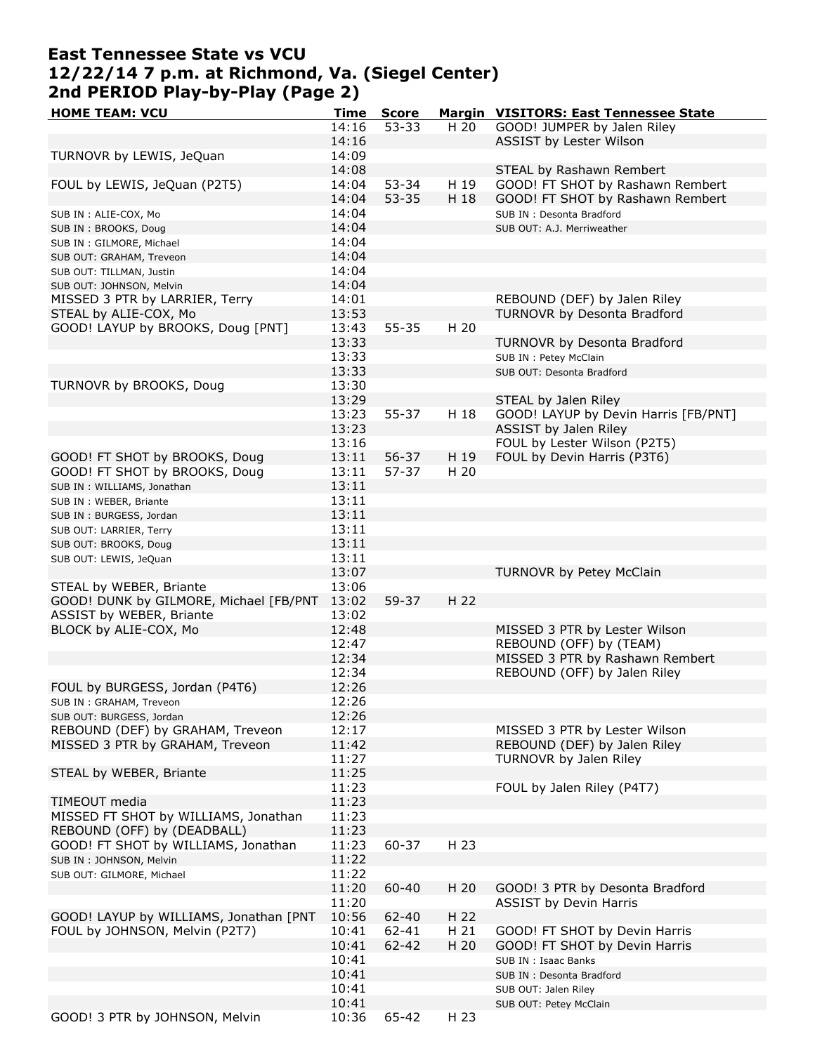## **East Tennessee State vs VCU 12/22/14 7 p.m. at Richmond, Va. (Siegel Center) 2nd PERIOD Play-by-Play (Page 2)**

| <b>HOME TEAM: VCU</b>                  | Time  | <b>Score</b> |      | Margin VISITORS: East Tennessee State |
|----------------------------------------|-------|--------------|------|---------------------------------------|
|                                        | 14:16 | $53 - 33$    | H 20 | GOOD! JUMPER by Jalen Riley           |
|                                        | 14:16 |              |      | ASSIST by Lester Wilson               |
| TURNOVR by LEWIS, JeQuan               | 14:09 |              |      |                                       |
|                                        | 14:08 |              |      | STEAL by Rashawn Rembert              |
| FOUL by LEWIS, JeQuan (P2T5)           | 14:04 | 53-34        | H 19 | GOOD! FT SHOT by Rashawn Rembert      |
|                                        | 14:04 | $53 - 35$    | H 18 | GOOD! FT SHOT by Rashawn Rembert      |
|                                        | 14:04 |              |      | SUB IN : Desonta Bradford             |
| SUB IN : ALIE-COX, Mo                  | 14:04 |              |      |                                       |
| SUB IN: BROOKS, Doug                   |       |              |      | SUB OUT: A.J. Merriweather            |
| SUB IN: GILMORE, Michael               | 14:04 |              |      |                                       |
| SUB OUT: GRAHAM, Treveon               | 14:04 |              |      |                                       |
| SUB OUT: TILLMAN, Justin               | 14:04 |              |      |                                       |
| SUB OUT: JOHNSON, Melvin               | 14:04 |              |      |                                       |
| MISSED 3 PTR by LARRIER, Terry         | 14:01 |              |      | REBOUND (DEF) by Jalen Riley          |
| STEAL by ALIE-COX, Mo                  | 13:53 |              |      | TURNOVR by Desonta Bradford           |
| GOOD! LAYUP by BROOKS, Doug [PNT]      | 13:43 | $55 - 35$    | H 20 |                                       |
|                                        | 13:33 |              |      | TURNOVR by Desonta Bradford           |
|                                        | 13:33 |              |      | SUB IN : Petey McClain                |
|                                        | 13:33 |              |      | SUB OUT: Desonta Bradford             |
| TURNOVR by BROOKS, Doug                | 13:30 |              |      |                                       |
|                                        | 13:29 |              |      | STEAL by Jalen Riley                  |
|                                        | 13:23 | $55 - 37$    | H 18 | GOOD! LAYUP by Devin Harris [FB/PNT]  |
|                                        | 13:23 |              |      | ASSIST by Jalen Riley                 |
|                                        | 13:16 |              |      | FOUL by Lester Wilson (P2T5)          |
| GOOD! FT SHOT by BROOKS, Doug          | 13:11 | 56-37        | H 19 | FOUL by Devin Harris (P3T6)           |
| GOOD! FT SHOT by BROOKS, Doug          | 13:11 | 57-37        | H 20 |                                       |
|                                        | 13:11 |              |      |                                       |
| SUB IN: WILLIAMS, Jonathan             |       |              |      |                                       |
| SUB IN : WEBER, Briante                | 13:11 |              |      |                                       |
| SUB IN: BURGESS, Jordan                | 13:11 |              |      |                                       |
| SUB OUT: LARRIER, Terry                | 13:11 |              |      |                                       |
| SUB OUT: BROOKS, Doug                  | 13:11 |              |      |                                       |
| SUB OUT: LEWIS, JeQuan                 | 13:11 |              |      |                                       |
|                                        | 13:07 |              |      | TURNOVR by Petey McClain              |
| STEAL by WEBER, Briante                | 13:06 |              |      |                                       |
| GOOD! DUNK by GILMORE, Michael [FB/PNT | 13:02 | 59-37        | H 22 |                                       |
| ASSIST by WEBER, Briante               | 13:02 |              |      |                                       |
| BLOCK by ALIE-COX, Mo                  | 12:48 |              |      | MISSED 3 PTR by Lester Wilson         |
|                                        | 12:47 |              |      | REBOUND (OFF) by (TEAM)               |
|                                        | 12:34 |              |      | MISSED 3 PTR by Rashawn Rembert       |
|                                        | 12:34 |              |      | REBOUND (OFF) by Jalen Riley          |
| FOUL by BURGESS, Jordan (P4T6)         | 12:26 |              |      |                                       |
| SUB IN: GRAHAM, Treveon                | 12:26 |              |      |                                       |
| SUB OUT: BURGESS, Jordan               | 12:26 |              |      |                                       |
| REBOUND (DEF) by GRAHAM, Treveon       | 12:17 |              |      | MISSED 3 PTR by Lester Wilson         |
| MISSED 3 PTR by GRAHAM, Treveon        | 11:42 |              |      | REBOUND (DEF) by Jalen Riley          |
|                                        | 11:27 |              |      | TURNOVR by Jalen Riley                |
| STEAL by WEBER, Briante                | 11:25 |              |      |                                       |
|                                        | 11:23 |              |      | FOUL by Jalen Riley (P4T7)            |
| TIMEOUT media                          | 11:23 |              |      |                                       |
| MISSED FT SHOT by WILLIAMS, Jonathan   | 11:23 |              |      |                                       |
| REBOUND (OFF) by (DEADBALL)            | 11:23 |              |      |                                       |
| GOOD! FT SHOT by WILLIAMS, Jonathan    | 11:23 | $60 - 37$    | H 23 |                                       |
| SUB IN: JOHNSON, Melvin                | 11:22 |              |      |                                       |
| SUB OUT: GILMORE, Michael              | 11:22 |              |      |                                       |
|                                        | 11:20 | 60-40        | H 20 | GOOD! 3 PTR by Desonta Bradford       |
|                                        | 11:20 |              |      | <b>ASSIST by Devin Harris</b>         |
| GOOD! LAYUP by WILLIAMS, Jonathan [PNT | 10:56 | 62-40        | H 22 |                                       |
|                                        |       |              |      |                                       |
| FOUL by JOHNSON, Melvin (P2T7)         | 10:41 | 62-41        | H 21 | GOOD! FT SHOT by Devin Harris         |
|                                        | 10:41 | 62-42        | H 20 | GOOD! FT SHOT by Devin Harris         |
|                                        | 10:41 |              |      | SUB IN : Isaac Banks                  |
|                                        | 10:41 |              |      | SUB IN : Desonta Bradford             |
|                                        | 10:41 |              |      | SUB OUT: Jalen Riley                  |
|                                        | 10:41 |              |      | SUB OUT: Petey McClain                |
| GOOD! 3 PTR by JOHNSON, Melvin         | 10:36 | 65-42        | H 23 |                                       |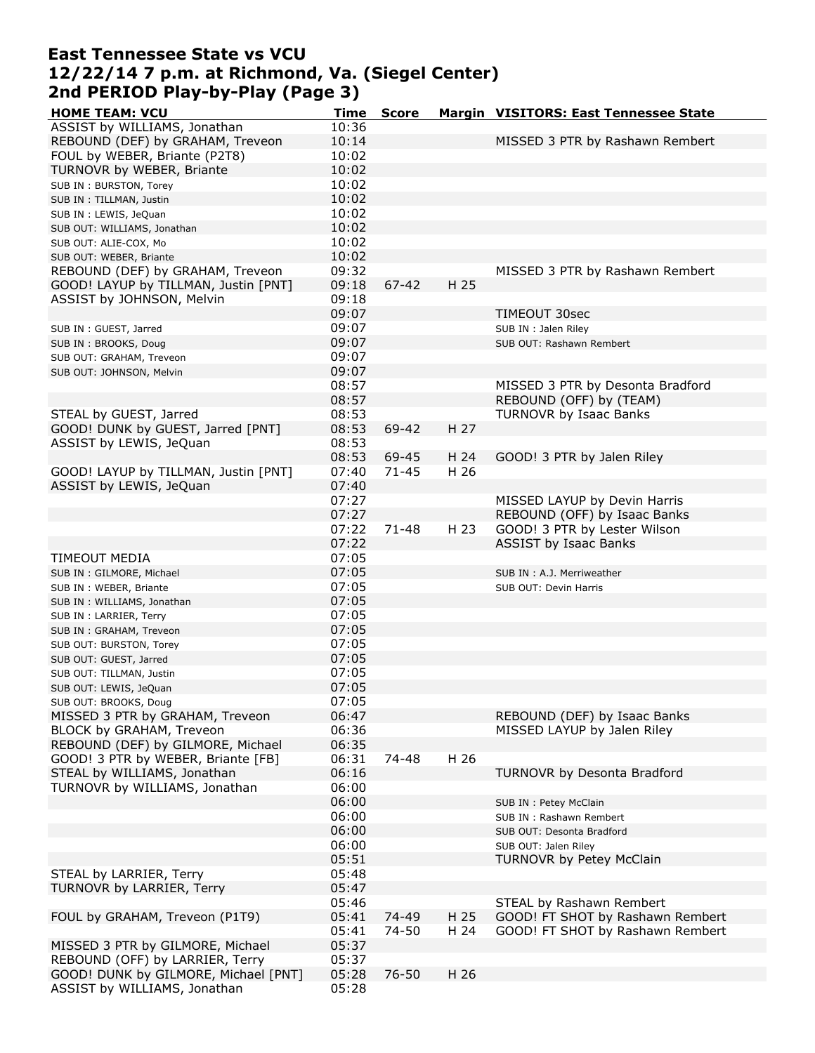### **East Tennessee State vs VCU 12/22/14 7 p.m. at Richmond, Va. (Siegel Center) 2nd PERIOD Play-by-Play (Page 3)**

| <b>HOME TEAM: VCU</b>                              | <b>Time</b>    | <b>Score</b> |      | Margin VISITORS: East Tennessee State |
|----------------------------------------------------|----------------|--------------|------|---------------------------------------|
| ASSIST by WILLIAMS, Jonathan                       | 10:36          |              |      |                                       |
| REBOUND (DEF) by GRAHAM, Treveon                   | 10:14          |              |      | MISSED 3 PTR by Rashawn Rembert       |
| FOUL by WEBER, Briante (P2T8)                      | 10:02          |              |      |                                       |
| TURNOVR by WEBER, Briante                          | 10:02          |              |      |                                       |
| SUB IN: BURSTON, Torey                             | 10:02          |              |      |                                       |
| SUB IN : TILLMAN, Justin                           | 10:02          |              |      |                                       |
| SUB IN : LEWIS, JeQuan                             | 10:02          |              |      |                                       |
| SUB OUT: WILLIAMS, Jonathan                        | 10:02          |              |      |                                       |
| SUB OUT: ALIE-COX, Mo                              | 10:02          |              |      |                                       |
| SUB OUT: WEBER, Briante                            | 10:02          |              |      |                                       |
| REBOUND (DEF) by GRAHAM, Treveon                   | 09:32          |              |      | MISSED 3 PTR by Rashawn Rembert       |
| GOOD! LAYUP by TILLMAN, Justin [PNT]               | 09:18          | $67 - 42$    | H 25 |                                       |
| ASSIST by JOHNSON, Melvin                          | 09:18          |              |      |                                       |
|                                                    | 09:07          |              |      | TIMEOUT 30sec                         |
| SUB IN : GUEST, Jarred                             | 09:07          |              |      | SUB IN : Jalen Riley                  |
| SUB IN: BROOKS, Doug                               | 09:07          |              |      | SUB OUT: Rashawn Rembert              |
| SUB OUT: GRAHAM, Treveon                           | 09:07          |              |      |                                       |
| SUB OUT: JOHNSON, Melvin                           | 09:07          |              |      |                                       |
|                                                    | 08:57          |              |      | MISSED 3 PTR by Desonta Bradford      |
|                                                    | 08:57          |              |      | REBOUND (OFF) by (TEAM)               |
| STEAL by GUEST, Jarred                             | 08:53          |              |      | TURNOVR by Isaac Banks                |
| GOOD! DUNK by GUEST, Jarred [PNT]                  | 08:53          | 69-42        | H 27 |                                       |
| ASSIST by LEWIS, JeQuan                            | 08:53          |              |      |                                       |
|                                                    | 08:53          | 69-45        | H 24 | GOOD! 3 PTR by Jalen Riley            |
| GOOD! LAYUP by TILLMAN, Justin [PNT]               | 07:40          | $71 - 45$    | H 26 |                                       |
| ASSIST by LEWIS, JeQuan                            | 07:40          |              |      |                                       |
|                                                    | 07:27          |              |      | MISSED LAYUP by Devin Harris          |
|                                                    | 07:27          |              |      | REBOUND (OFF) by Isaac Banks          |
|                                                    | 07:22          | 71-48        | H 23 | GOOD! 3 PTR by Lester Wilson          |
|                                                    | 07:22          |              |      | <b>ASSIST by Isaac Banks</b>          |
| TIMEOUT MEDIA                                      | 07:05          |              |      |                                       |
| SUB IN: GILMORE, Michael                           | 07:05          |              |      | SUB IN : A.J. Merriweather            |
| SUB IN : WEBER, Briante                            | 07:05          |              |      | SUB OUT: Devin Harris                 |
| SUB IN: WILLIAMS, Jonathan                         | 07:05          |              |      |                                       |
| SUB IN: LARRIER, Terry                             | 07:05<br>07:05 |              |      |                                       |
| SUB IN: GRAHAM, Treveon                            | 07:05          |              |      |                                       |
| SUB OUT: BURSTON, Torey                            | 07:05          |              |      |                                       |
| SUB OUT: GUEST, Jarred<br>SUB OUT: TILLMAN, Justin | 07:05          |              |      |                                       |
|                                                    | 07:05          |              |      |                                       |
| SUB OUT: LEWIS, JeQuan<br>SUB OUT: BROOKS, Doug    | 07:05          |              |      |                                       |
| MISSED 3 PTR by GRAHAM, Treveon                    | 06:47          |              |      | REBOUND (DEF) by Isaac Banks          |
| BLOCK by GRAHAM, Treveon                           | 06:36          |              |      | MISSED LAYUP by Jalen Riley           |
| REBOUND (DEF) by GILMORE, Michael                  | 06:35          |              |      |                                       |
| GOOD! 3 PTR by WEBER, Briante [FB]                 | 06:31          | 74-48        | H 26 |                                       |
| STEAL by WILLIAMS, Jonathan                        | 06:16          |              |      | TURNOVR by Desonta Bradford           |
| TURNOVR by WILLIAMS, Jonathan                      | 06:00          |              |      |                                       |
|                                                    | 06:00          |              |      | SUB IN : Petey McClain                |
|                                                    | 06:00          |              |      | SUB IN: Rashawn Rembert               |
|                                                    | 06:00          |              |      | SUB OUT: Desonta Bradford             |
|                                                    | 06:00          |              |      | SUB OUT: Jalen Riley                  |
|                                                    | 05:51          |              |      | <b>TURNOVR by Petey McClain</b>       |
| STEAL by LARRIER, Terry                            | 05:48          |              |      |                                       |
| TURNOVR by LARRIER, Terry                          | 05:47          |              |      |                                       |
|                                                    | 05:46          |              |      | STEAL by Rashawn Rembert              |
| FOUL by GRAHAM, Treveon (P1T9)                     | 05:41          | 74-49        | H 25 | GOOD! FT SHOT by Rashawn Rembert      |
|                                                    | 05:41          | 74-50        | H 24 | GOOD! FT SHOT by Rashawn Rembert      |
| MISSED 3 PTR by GILMORE, Michael                   | 05:37          |              |      |                                       |
| REBOUND (OFF) by LARRIER, Terry                    | 05:37          |              |      |                                       |
| GOOD! DUNK by GILMORE, Michael [PNT]               | 05:28          | $76 - 50$    | H 26 |                                       |
| ASSIST by WILLIAMS, Jonathan                       | 05:28          |              |      |                                       |